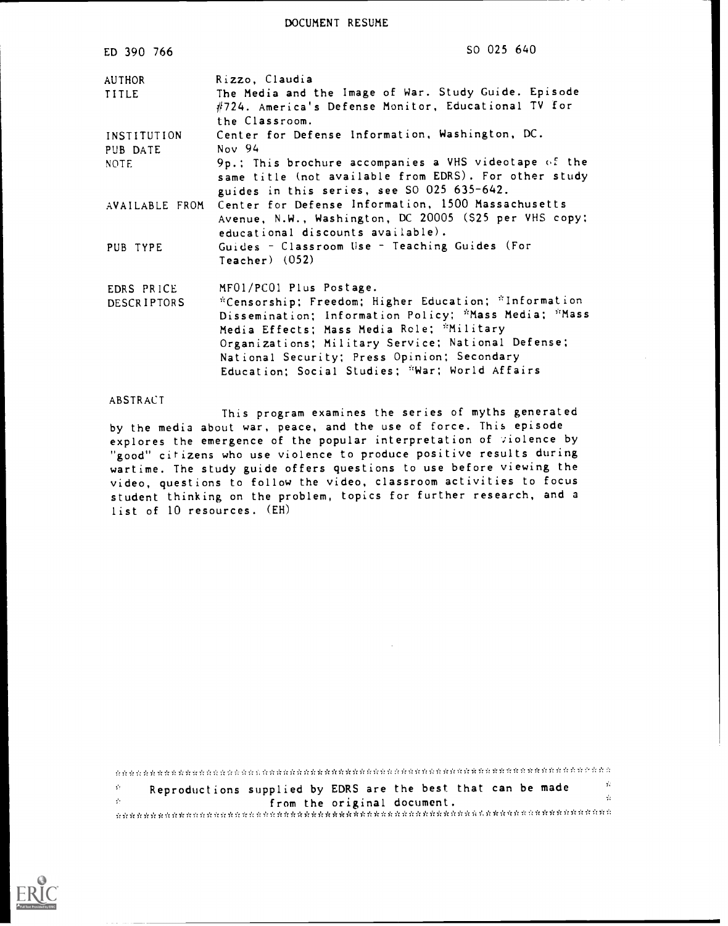DOCUMENT RESUME

| ED 390 766                       | SO 025 640                                                                                                                                                                                                                                                                                                                                   |
|----------------------------------|----------------------------------------------------------------------------------------------------------------------------------------------------------------------------------------------------------------------------------------------------------------------------------------------------------------------------------------------|
| AUTHOR                           | Rizzo, Claudia                                                                                                                                                                                                                                                                                                                               |
| TITLE                            | The Media and the Image of War. Study Guide. Episode<br>#724. America's Defense Monitor, Educational TV for<br>the Classroom.                                                                                                                                                                                                                |
| INSTITUTION                      | Center for Defense Information, Washington, DC.                                                                                                                                                                                                                                                                                              |
| PUB DATE<br><b>NOTE</b>          | Nov 94<br>9p.; This brochure accompanies a VHS videotape of the<br>same title (not available from EDRS). For other study<br>guides in this series, see SO 025 635-642.                                                                                                                                                                       |
| AVAILABLE FROM                   | Center for Defense Information, 1500 Massachusetts<br>Avenue, N.W., Washington, DC 20005 (\$25 per VHS copy:<br>educational discounts available).                                                                                                                                                                                            |
| PUB TYPE                         | Guides - Classroom Use - Teaching Guides (For<br>Teacher) $(052)$                                                                                                                                                                                                                                                                            |
| EDRS PRICE<br><b>DESCRIPTORS</b> | MFO1/PCO1 Plus Postage.<br>*Censorship; Freedom; Higher Education; *Information<br>Dissemination; Information Policy; *Mass Media; *Mass<br>Media Effects; Mass Media Role; "Military<br>Organizations; Military Service; National Defense;<br>National Security; Press Opinion; Secondary<br>Education; Social Studies; "War; World Affairs |

#### ABSTRACT

This program examines the series of myths generated by the media about war, peace, and the use of force. This episode explores the emergence of the popular interpretation of violence by "good" citizens who use violence to produce positive results during wartime. The study guide offers questions to use before viewing the video, questions to follow the video, classroom activities to focus student thinking on the problem, topics for further research, and a list of 10 resources. (EH)

 $\mathcal{G}^{\mathcal{G}}$ Reproductions supplied by EDRS are the best that can be made  $\mathcal{G}_{\mathcal{F}}$  $\dot{\Omega}$  $\frac{1}{2} \frac{1}{2}$ from the original document. naanan na manan manan manan manan manan manan dan manan manan manan manan manan manan manan manan m

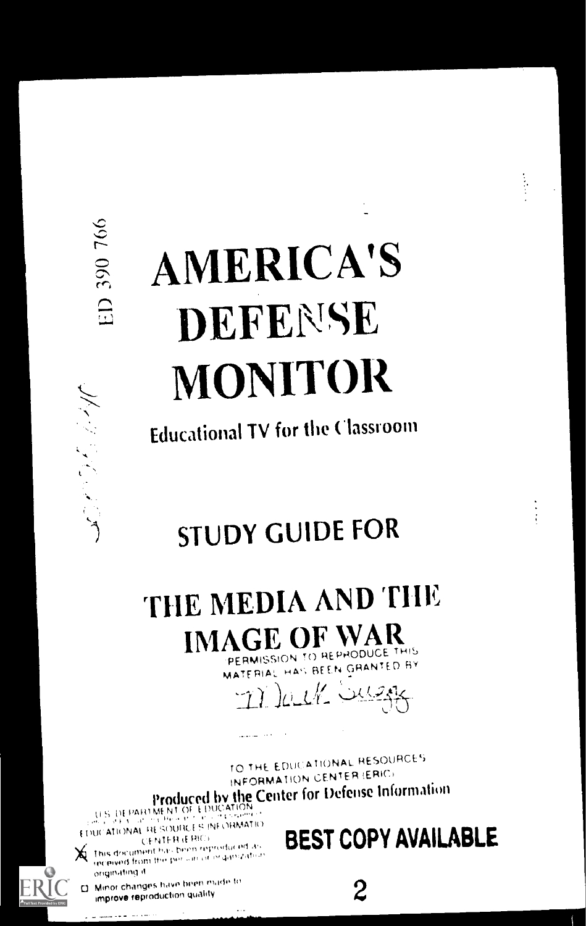NATURE SER

# **AMERICA'S** DEFENSE **MONITOR**

**Educational TV for the Classroom** 

**STUDY GUIDE FOR** 

THE MEDIA AND THE **IMAGE OF WAR** PERMISSION TO REPHODUCE THIS

MATERIAL HAS BEEN GRANTED BY

n lack weak

TO THE EDUCATIONAL RESOURCES INFORMATION CENTER (ERIC) Produced by the Center for Defense Information

EDUCATIONAL RESOURCES INFORMATIO **CENTER (ERIC)** 

this document has been reproduced as received from the person of in ganization originating it C). Minor changes have been made to

improve reproduction quality

للمحادث المتعاد متملونات

**ERI** 

**BEST COPY AVAILABLE** 

 $\overline{2}$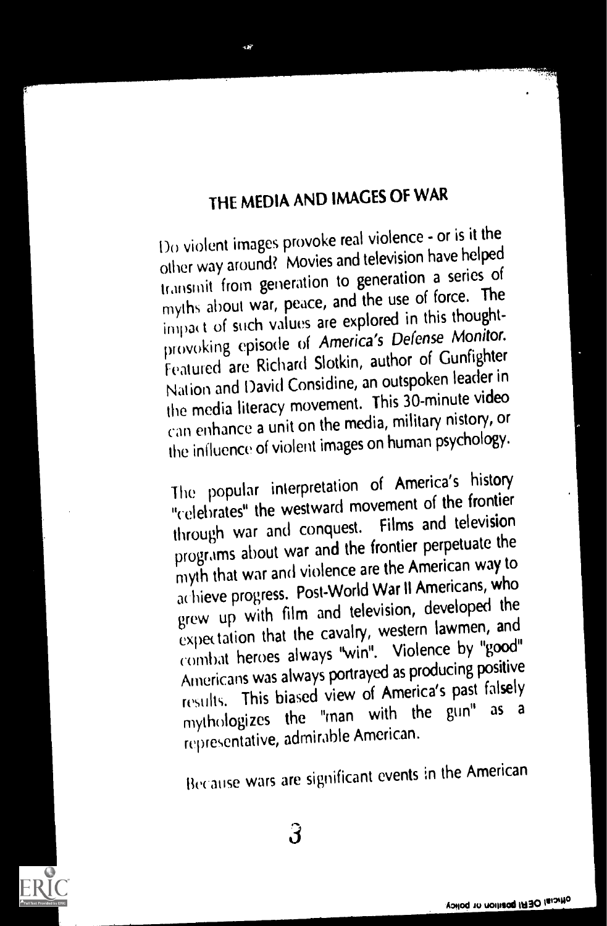## THE MEDIA AND IMAGES OF WAR

sler i de statistike en de statistike en de statistike en de statistike en de statistike en de statistike en d<br>Statistike en de statistike en de statistike en de statistike en de statistike en de statistike en de statistik

Do violent images provoke real violence - or is it the other way around? Movies and television have helped transmit from generation to generation a series of myths about war, peace, and the use of force. The impact of such values are explored in this thoughtprovoking episode of America's Defense Monitor. Featured are Richard Slotkin, author of Gunfighter Nation and David Considine, an outspoken leader in the media literacy movement. This 30-minute video can enhance a unit on the media, military nistory, or the influence of violent images on human psychology.

The popular interpretation of America's history "celebrates" the westward movement of the frontier through war and conquest. Films and television programs about war and the frontier perpetuate the myth that war and violence are the American way to achieve progress. Post-World War II Americans, who grew up with film and television, developed the expectation that the cavalry, western lawmen, and combat heroes always "win". Violence by "good" Americans was always portrayed as producing positive results. This biased view of America's past falsely mythologizes the "man with the gun" as <sup>a</sup> representative, admirable American.

Because wars are significant events in the American

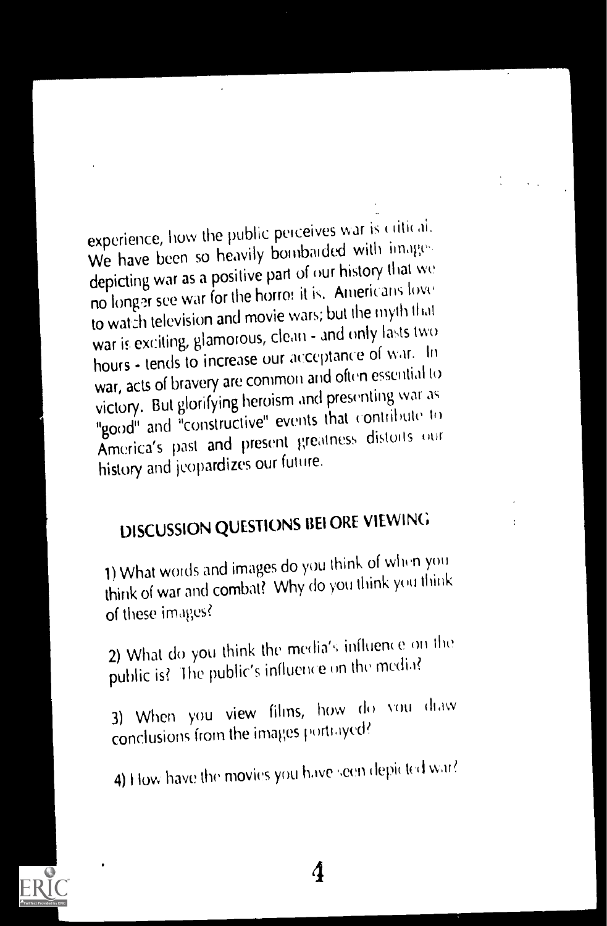experience, how the public perceives war is critical. We have been so heavily bombaided with images depicting war as a positive part of our history that we no longer see war for the horror it is. Americans love to watch television and movie wars; but the myth that war is exciting, glamorous, clean - and only lasts two hours - tends to increase our acceptance of war. In war, acts of bravery are common and often essential to victory. But glorifying heroism and presenting war as "good" and "constructive" events that contribute to America's past and present greatness distoits our history and jeopardizes our future.

# DISCUSSION QUESTIONS BEI ORE VIEWING

1) What words and images do you think of when you think of war and combat? Why do you think you think of these images?

2) What do you think the media's influence on the public is? The public's influence on the media?

3) When you view films, how do you diaw conclusions from the images portrayed?

4) How have the movies you have seen depicted war?

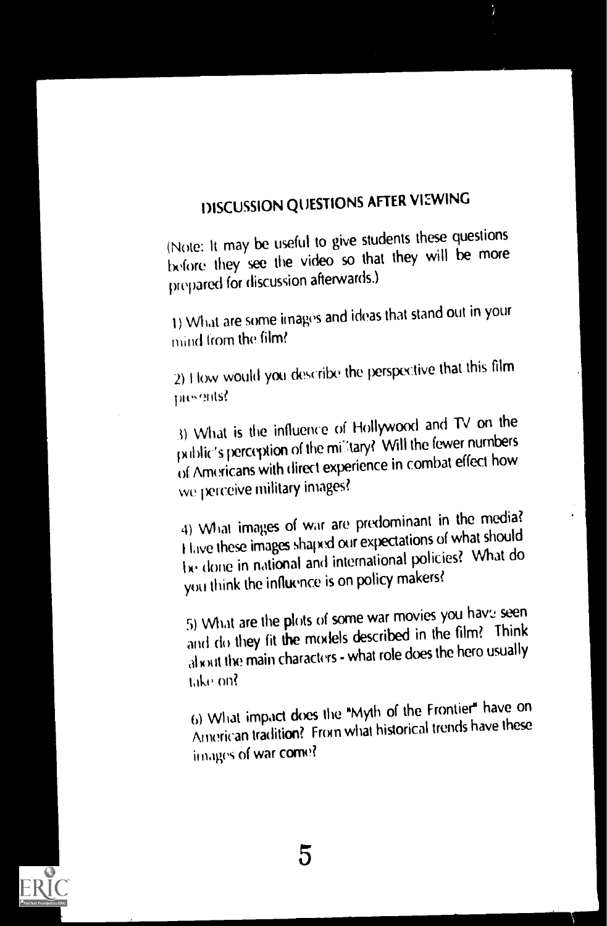# DISCUSSION QUESTIONS AFTER VIEWING

(Note: It may be useful to give students these questions before they see the video so that they will be more prepared for discussion afterwards.)

) What are some images and ideas that stand out in your mind from the film?

2) How would you describe the perspective that this film nts?

 $3)$  What is the influence of Hollywood and TV on the public's perception of the military? Will the fewer numbers of Americans with direct experience in combat effect how we perceive military images?

4) What images of war are predominant in the media? t Live these images shaped our expectations of what should Iv done in national and international policies? What do you think (he influence is on policy makers?

5) What are the plots of some war movies you have seen and do they fit the models described in the film? Think al with the main characters - what role does the hero usually Like on?

6) What impact does the "Myth of the Frontier" have on American tradifion? From what historical trends have these images of war come?

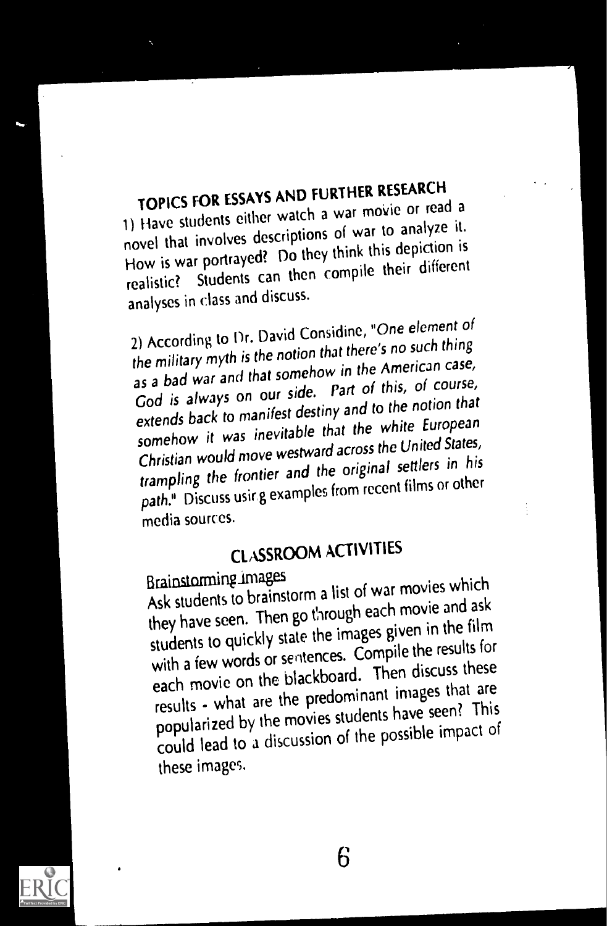# TOPICS FOR ESSAYS AND FURTHER RESEARCH

1) Have students either watch a war movie or read a novel that involves descriptions of war to analyze it. How is war portrayed? Do they think this depiction is realistic? Students can then compile their different analyses in class and discuss.

2) According to Dr. David Considine, "One element of the military myth is the notion that there's no such thing as a bad war and that somehow in the American case, God is always on our side. Part of this, of course, extends back to manifest destiny and to the notion that somehow it was inevitable that the white European Christian would move westward across the United States, trampling the frontier and the original settlers in his path." Discuss usir g examples from recent films or other media sources.

# CLASSROOM ACTIVITIES

Brainstomme in a list of war movies which<br>Ask students to brainstorm a list of war movie and ask they have seen. Then go through each movie and ask students to quickly state the images given in the film with a few words or sentences. Compile the results for each movie on the blackboard. Then discuss these results - what are the predominant images that are popularized by the movies students have seen? This could lead to a discussion of the possible impact of these images.



 $\sim$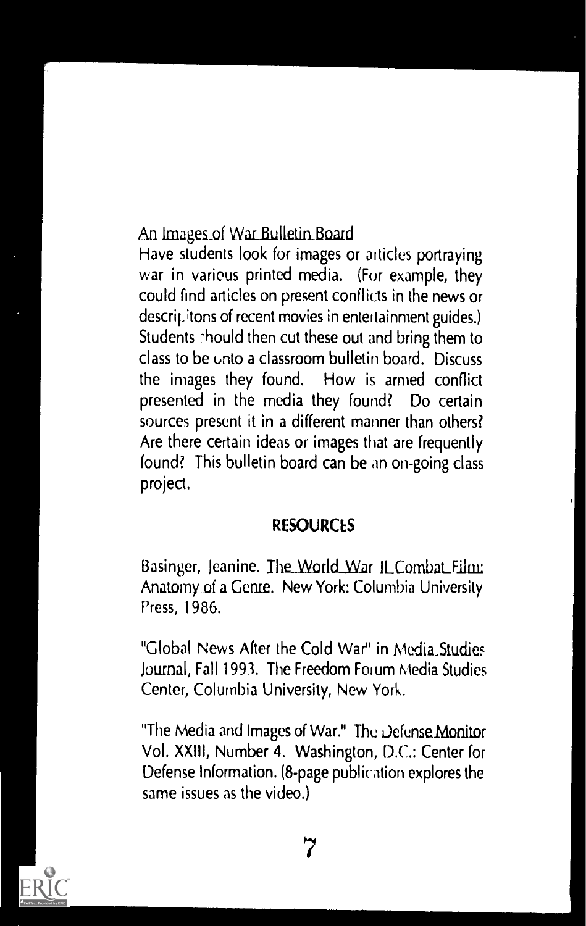An Images of War Bulletin Board

Have students look for images or articles portraying war in various printed media. (For example, they could find articles on present conflicts in the news or descri<sub>f</sub>. itons of recent movies in entertainment guides.) Students -hould then cut these out and bring them to class to be unto a classroom bulletin board. Discuss the images they found. How is armed conflict presented in the media they found? Do certain sources present it in a different manner than others? Are there certain ideas or images that are frequently found? This bulletin board can be an on-going class project.

### **RESOURCES**

Basinger, Jeanine. The World War ILCombat Film: Anatomy\_of. a Genre. New York: Columbia University Press, 1986.

"Global News After the Cold War" in Media Studies Journal, Fall 1993. The Freedom Forum Media Studies Center, Columbia University, New York.

"The Media and Images of War." The Defense Monitor Vol. XXIII, Number 4. Washington, D.C.: Center for Defense Information. (8-page publication explores the same issues as the video.)

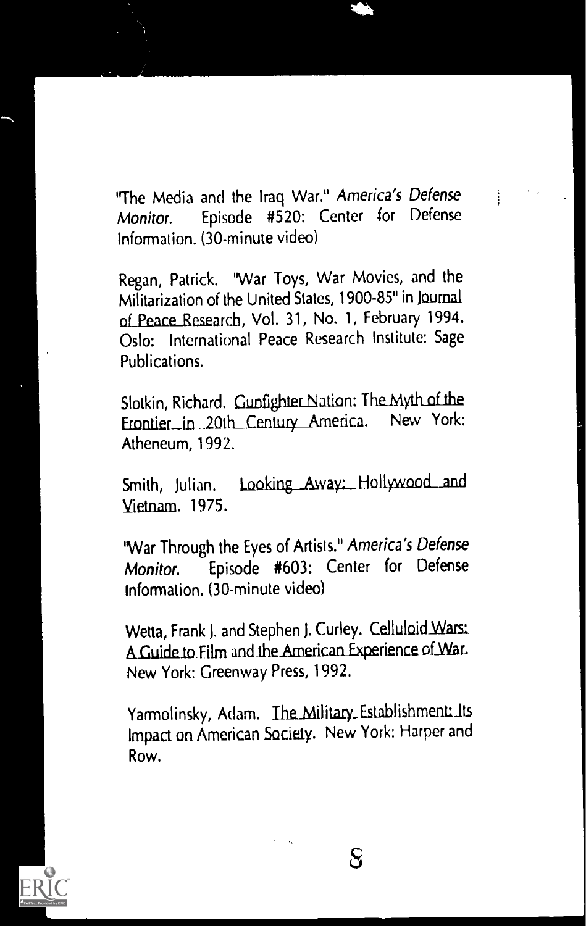"The Media and the Iraq War." America's Defense Episode #520: Center for Defense Monitor. Information. (30-minute video)

Regan, Patrick. "War Toys, War Movies, and the Militarization of the United States, 1900-85" in Journal of Peace Research, Vol. 31, No. 1, February 1994. Oslo: International Peace Research Institute: Sage Publications.

Slotkin, Richard. Gunfighter Nation: The Myth of the Frontier in 20th Century America. New York: Atheneum, 1992.

Smith, Julian. Looking Away: Hollywood and Vietnam. 1975.

"War Through the Eyes of Artists." America's Defense Episode #603: Center for Defense Monitor. Information. (30-minute video)

Wetta, Frank J. and Stephen J. Curley. Celluloid Wars: A Guide to Film and the American Experience of War. New York: Greenway Press, 1992.

Yamolinsky, Adam. The Military Establishment: Its Impact on American Society. New York: Harper and Row.